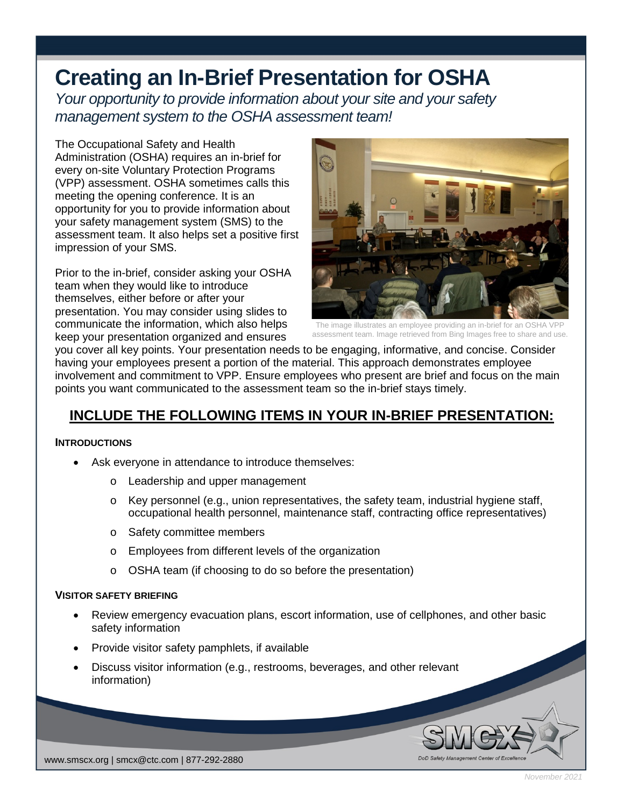# **Creating an In-Brief Presentation for OSHA**

*Your opportunity to provide information about your site and your safety management system to the OSHA assessment team!*

The Occupational Safety and Health Administration (OSHA) requires an in-brief for every on-site Voluntary Protection Programs (VPP) assessment. OSHA sometimes calls this meeting the opening conference. It is an opportunity for you to provide information about your safety management system (SMS) to the assessment team. It also helps set a positive first impression of your SMS.

Prior to the in-brief, consider asking your OSHA team when they would like to introduce themselves, either before or after your presentation. You may consider using slides to communicate the information, which also helps keep your presentation organized and ensures



The image illustrates an employee providing an in-brief for an OSHA VP assessment team. Image retrieved from Bing Images free to share and use.

you cover all key points. Your presentation needs to be engaging, informative, and concise. Consider having your employees present a portion of the material. This approach demonstrates employee involvement and commitment to VPP. Ensure employees who present are brief and focus on the main points you want communicated to the assessment team so the in-brief stays timely.

# **INCLUDE THE FOLLOWING ITEMS IN YOUR IN-BRIEF PRESENTATION:**

## **INTRODUCTIONS**

- Ask everyone in attendance to introduce themselves:
	- o Leadership and upper management
	- o Key personnel (e.g., union representatives, the safety team, industrial hygiene staff, occupational health personnel, maintenance staff, contracting office representatives)
	- o Safety committee members
	- o Employees from different levels of the organization
	- o OSHA team (if choosing to do so before the presentation)

#### **VISITOR SAFETY BRIEFING**

- Review emergency evacuation plans, escort information, use of cellphones, and other basic safety information
- Provide visitor safety pamphlets, if available
- Discuss visitor information (e.g., restrooms, beverages, and other relevant information)



*November 2021*

 $\frac{1}{\sqrt{1-\frac{1}{n}}}\sqrt{\frac{1}{n}}$